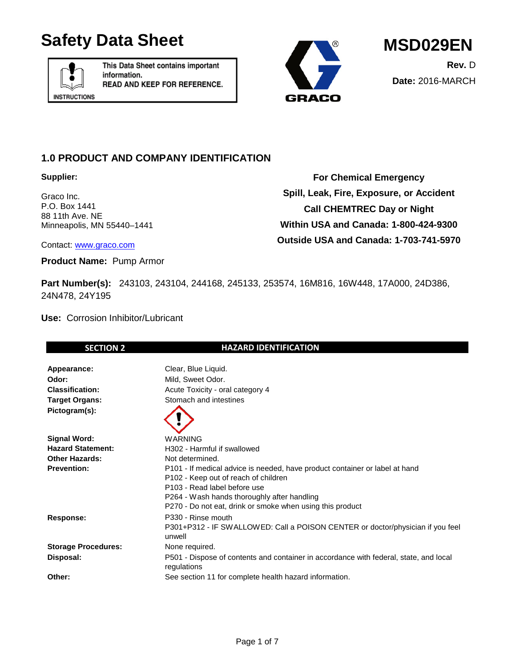# Safety Data Sheet MSD029EN



This Data Sheet contains important information. READ AND KEEP FOR REFERENCE.



## **1.0 PRODUCT AND COMPANY IDENTIFICATION**

**Supplier:**

Graco Inc. P.O. Box 1441 88 11th Ave. NE Minneapolis, MN 55440–1441

**For Chemical Emergency Spill, Leak, Fire, Exposure, or Accident Call CHEMTREC Day or Night Within USA and Canada: 1-800-424-9300 Outside USA and Canada: 1-703-741-5970**

Contact: [www.graco.com](http://www.graco.com/)

**Product Name:** Pump Armor

**Part Number(s):** 243103, 243104, 244168, 245133, 253574, 16M816, 16W448, 17A000, 24D386, 24N478, 24Y195

**Use:** Corrosion Inhibitor/Lubricant

| Clear, Blue Liquid.<br>Appearance:<br>Odor:<br>Mild, Sweet Odor.<br><b>Classification:</b><br>Acute Toxicity - oral category 4<br>Stomach and intestines<br><b>Target Organs:</b><br>Pictogram(s):<br><b>Signal Word:</b><br><b>WARNING</b><br><b>Hazard Statement:</b><br>H302 - Harmful if swallowed<br><b>Other Hazards:</b><br>Not determined.<br><b>Prevention:</b><br>P101 - If medical advice is needed, have product container or label at hand<br>P102 - Keep out of reach of children<br>P103 - Read label before use<br>P264 - Wash hands thoroughly after handling<br>P270 - Do not eat, drink or smoke when using this product<br>P330 - Rinse mouth<br>Response:<br>P301+P312 - IF SWALLOWED: Call a POISON CENTER or doctor/physician if you feel<br>unwell<br><b>Storage Procedures:</b><br>None required.<br>P501 - Dispose of contents and container in accordance with federal, state, and local<br>Disposal:<br>regulations<br>Other:<br>See section 11 for complete health hazard information. | <b>SECTION 2</b> | <b>HAZARD IDENTIFICATION</b> |
|---------------------------------------------------------------------------------------------------------------------------------------------------------------------------------------------------------------------------------------------------------------------------------------------------------------------------------------------------------------------------------------------------------------------------------------------------------------------------------------------------------------------------------------------------------------------------------------------------------------------------------------------------------------------------------------------------------------------------------------------------------------------------------------------------------------------------------------------------------------------------------------------------------------------------------------------------------------------------------------------------------------------|------------------|------------------------------|
|                                                                                                                                                                                                                                                                                                                                                                                                                                                                                                                                                                                                                                                                                                                                                                                                                                                                                                                                                                                                                     |                  |                              |
|                                                                                                                                                                                                                                                                                                                                                                                                                                                                                                                                                                                                                                                                                                                                                                                                                                                                                                                                                                                                                     |                  |                              |
|                                                                                                                                                                                                                                                                                                                                                                                                                                                                                                                                                                                                                                                                                                                                                                                                                                                                                                                                                                                                                     |                  |                              |
|                                                                                                                                                                                                                                                                                                                                                                                                                                                                                                                                                                                                                                                                                                                                                                                                                                                                                                                                                                                                                     |                  |                              |
|                                                                                                                                                                                                                                                                                                                                                                                                                                                                                                                                                                                                                                                                                                                                                                                                                                                                                                                                                                                                                     |                  |                              |
|                                                                                                                                                                                                                                                                                                                                                                                                                                                                                                                                                                                                                                                                                                                                                                                                                                                                                                                                                                                                                     |                  |                              |
|                                                                                                                                                                                                                                                                                                                                                                                                                                                                                                                                                                                                                                                                                                                                                                                                                                                                                                                                                                                                                     |                  |                              |
|                                                                                                                                                                                                                                                                                                                                                                                                                                                                                                                                                                                                                                                                                                                                                                                                                                                                                                                                                                                                                     |                  |                              |
|                                                                                                                                                                                                                                                                                                                                                                                                                                                                                                                                                                                                                                                                                                                                                                                                                                                                                                                                                                                                                     |                  |                              |
|                                                                                                                                                                                                                                                                                                                                                                                                                                                                                                                                                                                                                                                                                                                                                                                                                                                                                                                                                                                                                     |                  |                              |
|                                                                                                                                                                                                                                                                                                                                                                                                                                                                                                                                                                                                                                                                                                                                                                                                                                                                                                                                                                                                                     |                  |                              |
|                                                                                                                                                                                                                                                                                                                                                                                                                                                                                                                                                                                                                                                                                                                                                                                                                                                                                                                                                                                                                     |                  |                              |
|                                                                                                                                                                                                                                                                                                                                                                                                                                                                                                                                                                                                                                                                                                                                                                                                                                                                                                                                                                                                                     |                  |                              |
|                                                                                                                                                                                                                                                                                                                                                                                                                                                                                                                                                                                                                                                                                                                                                                                                                                                                                                                                                                                                                     |                  |                              |
|                                                                                                                                                                                                                                                                                                                                                                                                                                                                                                                                                                                                                                                                                                                                                                                                                                                                                                                                                                                                                     |                  |                              |
|                                                                                                                                                                                                                                                                                                                                                                                                                                                                                                                                                                                                                                                                                                                                                                                                                                                                                                                                                                                                                     |                  |                              |
|                                                                                                                                                                                                                                                                                                                                                                                                                                                                                                                                                                                                                                                                                                                                                                                                                                                                                                                                                                                                                     |                  |                              |
|                                                                                                                                                                                                                                                                                                                                                                                                                                                                                                                                                                                                                                                                                                                                                                                                                                                                                                                                                                                                                     |                  |                              |
|                                                                                                                                                                                                                                                                                                                                                                                                                                                                                                                                                                                                                                                                                                                                                                                                                                                                                                                                                                                                                     |                  |                              |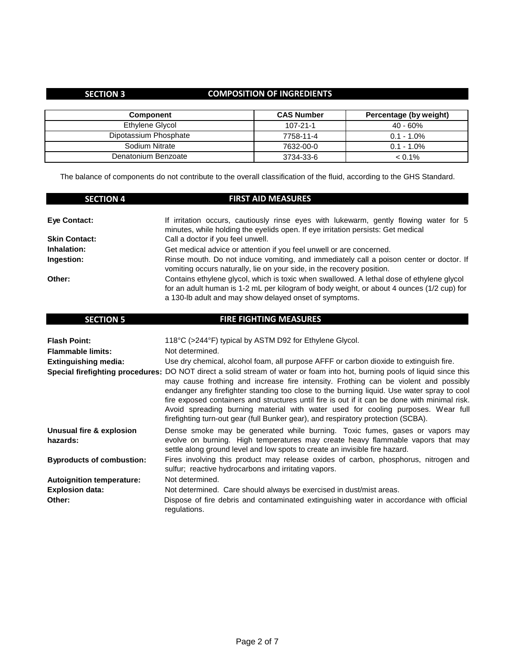## **SECTION 3 COMPOSITION OF INGREDIENTS**

| <b>Component</b>      | <b>CAS Number</b> | Percentage (by weight) |
|-----------------------|-------------------|------------------------|
| Ethylene Glycol       | $107 - 21 - 1$    | 40 - 60%               |
| Dipotassium Phosphate | 7758-11-4         | $0.1 - 1.0\%$          |
| Sodium Nitrate        | 7632-00-0         | $0.1 - 1.0\%$          |
| Denatonium Benzoate   | 3734-33-6         | $< 0.1\%$              |

The balance of components do not contribute to the overall classification of the fluid, according to the GHS Standard.

| <b>SECTION 4</b>     | <b>FIRST AID MEASURES</b>                                                                                                                                                                                                                        |
|----------------------|--------------------------------------------------------------------------------------------------------------------------------------------------------------------------------------------------------------------------------------------------|
| Eye Contact:         | If irritation occurs, cautiously rinse eyes with lukewarm, gently flowing water for 5<br>minutes, while holding the eyelids open. If eye irritation persists: Get medical                                                                        |
| <b>Skin Contact:</b> | Call a doctor if you feel unwell.                                                                                                                                                                                                                |
| Inhalation:          | Get medical advice or attention if you feel unwell or are concerned.                                                                                                                                                                             |
| Ingestion:           | Rinse mouth. Do not induce vomiting, and immediately call a poison center or doctor. If<br>vomiting occurs naturally, lie on your side, in the recovery position.                                                                                |
| Other:               | Contains ethylene glycol, which is toxic when swallowed. A lethal dose of ethylene glycol<br>for an adult human is 1-2 mL per kilogram of body weight, or about 4 ounces (1/2 cup) for<br>a 130-lb adult and may show delayed onset of symptoms. |

| <b>SECTION 5</b>                     | <b>FIRE FIGHTING MEASURES</b>                                                                                                                                                                                                                                                                                                                                                                                                                                                                                                                                                               |
|--------------------------------------|---------------------------------------------------------------------------------------------------------------------------------------------------------------------------------------------------------------------------------------------------------------------------------------------------------------------------------------------------------------------------------------------------------------------------------------------------------------------------------------------------------------------------------------------------------------------------------------------|
| <b>Flash Point:</b>                  | 118°C (>244°F) typical by ASTM D92 for Ethylene Glycol.                                                                                                                                                                                                                                                                                                                                                                                                                                                                                                                                     |
| <b>Flammable limits:</b>             | Not determined.                                                                                                                                                                                                                                                                                                                                                                                                                                                                                                                                                                             |
| <b>Extinguishing media:</b>          | Use dry chemical, alcohol foam, all purpose AFFF or carbon dioxide to extinguish fire.                                                                                                                                                                                                                                                                                                                                                                                                                                                                                                      |
|                                      | Special firefighting procedures: DO NOT direct a solid stream of water or foam into hot, burning pools of liquid since this<br>may cause frothing and increase fire intensity. Frothing can be violent and possibly<br>endanger any firefighter standing too close to the burning liquid. Use water spray to cool<br>fire exposed containers and structures until fire is out if it can be done with minimal risk.<br>Avoid spreading burning material with water used for cooling purposes. Wear full<br>firefighting turn-out gear (full Bunker gear), and respiratory protection (SCBA). |
| Unusual fire & explosion<br>hazards: | Dense smoke may be generated while burning. Toxic fumes, gases or vapors may<br>evolve on burning. High temperatures may create heavy flammable vapors that may<br>settle along ground level and low spots to create an invisible fire hazard.                                                                                                                                                                                                                                                                                                                                              |
| <b>Byproducts of combustion:</b>     | Fires involving this product may release oxides of carbon, phosphorus, nitrogen and<br>sulfur; reactive hydrocarbons and irritating vapors.                                                                                                                                                                                                                                                                                                                                                                                                                                                 |
| <b>Autoignition temperature:</b>     | Not determined.                                                                                                                                                                                                                                                                                                                                                                                                                                                                                                                                                                             |
| <b>Explosion data:</b>               | Not determined. Care should always be exercised in dust/mist areas.                                                                                                                                                                                                                                                                                                                                                                                                                                                                                                                         |
| Other:                               | Dispose of fire debris and contaminated extinguishing water in accordance with official<br>regulations.                                                                                                                                                                                                                                                                                                                                                                                                                                                                                     |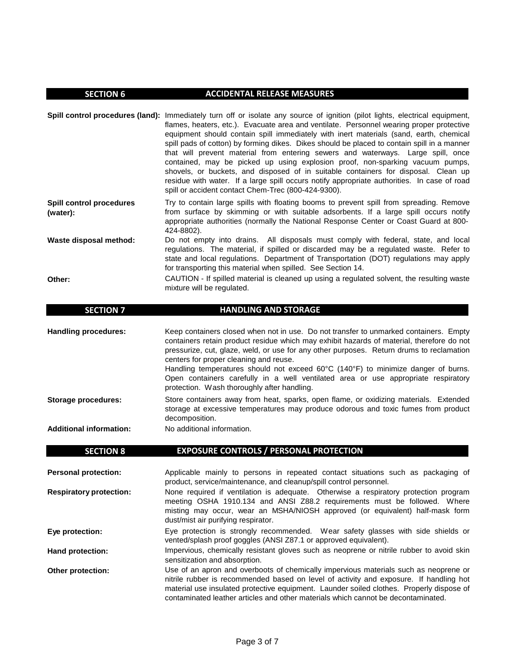### **SECTION 6 ACCIDENTAL RELEASE MEASURES**

**Spill control procedures (land):** Immediately turn off or isolate any source of ignition (pilot lights, electrical equipment, **Spill control procedures (water): Waste disposal method:** flames, heaters, etc.). Evacuate area and ventilate. Personnel wearing proper protective equipment should contain spill immediately with inert materials (sand, earth, chemical spill pads of cotton) by forming dikes. Dikes should be placed to contain spill in a manner that will prevent material from entering sewers and waterways. Large spill, once contained, may be picked up using explosion proof, non-sparking vacuum pumps, shovels, or buckets, and disposed of in suitable containers for disposal. Clean up residue with water. If a large spill occurs notify appropriate authorities. In case of road spill or accident contact Chem-Trec (800-424-9300). Try to contain large spills with floating booms to prevent spill from spreading. Remove from surface by skimming or with suitable adsorbents. If a large spill occurs notify appropriate authorities (normally the National Response Center or Coast Guard at 800- 424-8802). Do not empty into drains. All disposals must comply with federal, state, and local regulations. The material, if spilled or discarded may be a regulated waste. Refer to state and local regulations. Department of Transportation (DOT) regulations may apply

for transporting this material when spilled. See Section 14.

**Other:**

CAUTION - If spilled material is cleaned up using a regulated solvent, the resulting waste mixture will be regulated.

**Handling procedures: Storage procedures:**  Keep containers closed when not in use. Do not transfer to unmarked containers. Empty containers retain product residue which may exhibit hazards of material, therefore do not pressurize, cut, glaze, weld, or use for any other purposes. Return drums to reclamation centers for proper cleaning and reuse. Handling temperatures should not exceed 60°C (140°F) to minimize danger of burns. Open containers carefully in a well ventilated area or use appropriate respiratory protection. Wash thoroughly after handling. Store containers away from heat, sparks, open flame, or oxidizing materials. Extended storage at excessive temperatures may produce odorous and toxic fumes from product decomposition.

**Additional information:** No additional information.

| <b>SECTION 8</b>               | <b>EXPOSURE CONTROLS / PERSONAL PROTECTION</b>                                                                                                                                                                                                                                                                                                                  |
|--------------------------------|-----------------------------------------------------------------------------------------------------------------------------------------------------------------------------------------------------------------------------------------------------------------------------------------------------------------------------------------------------------------|
| <b>Personal protection:</b>    | Applicable mainly to persons in repeated contact situations such as packaging of<br>product, service/maintenance, and cleanup/spill control personnel.                                                                                                                                                                                                          |
| <b>Respiratory protection:</b> | None required if ventilation is adequate. Otherwise a respiratory protection program<br>meeting OSHA 1910.134 and ANSI Z88.2 requirements must be followed. Where<br>misting may occur, wear an MSHA/NIOSH approved (or equivalent) half-mask form<br>dust/mist air purifying respirator.                                                                       |
| Eye protection:                | Eye protection is strongly recommended. Wear safety glasses with side shields or<br>vented/splash proof goggles (ANSI Z87.1 or approved equivalent).                                                                                                                                                                                                            |
| <b>Hand protection:</b>        | Impervious, chemically resistant gloves such as neoprene or nitrile rubber to avoid skin<br>sensitization and absorption.                                                                                                                                                                                                                                       |
| <b>Other protection:</b>       | Use of an apron and overboots of chemically impervious materials such as neoprene or<br>nitrile rubber is recommended based on level of activity and exposure. If handling hot<br>material use insulated protective equipment. Launder soiled clothes. Properly dispose of<br>contaminated leather articles and other materials which cannot be decontaminated. |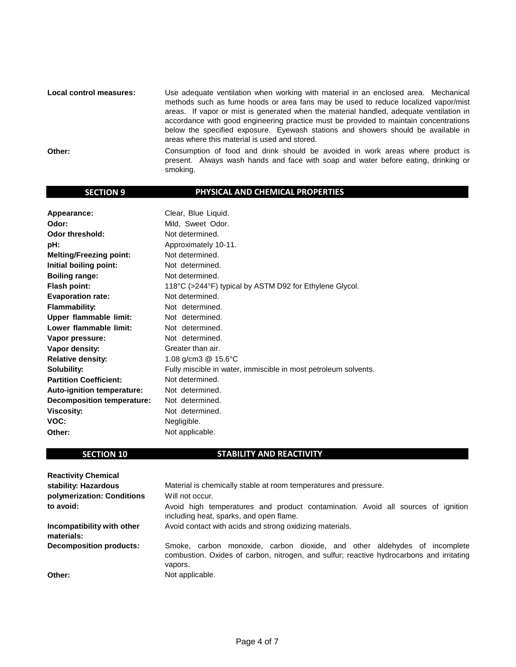**Local control measures: Other:** Use adequate ventilation when working with material in an enclosed area. Mechanical methods such as fume hoods or area fans may be used to reduce localized vapor/mist areas. If vapor or mist is generated when the material handled, adequate ventilation in accordance with good engineering practice must be provided to maintain concentrations below the specified exposure. Eyewash stations and showers should be available in areas where this material is used and stored. Consumption of food and drink should be avoided in work areas where product is present. Always wash hands and face with soap and water before eating, drinking or smoking.

### **SECTION 9 PHYSICAL AND CHEMICAL PROPERTIES**

| Appearance:                    | Clear, Blue Liquid.                                             |
|--------------------------------|-----------------------------------------------------------------|
| Odor:                          | Mild, Sweet Odor.                                               |
| <b>Odor threshold:</b>         | Not determined.                                                 |
| pH:                            | Approximately 10-11.                                            |
| <b>Melting/Freezing point:</b> | Not determined.                                                 |
| Initial boiling point:         | Not determined.                                                 |
| <b>Boiling range:</b>          | Not determined.                                                 |
| <b>Flash point:</b>            | 118°C (>244°F) typical by ASTM D92 for Ethylene Glycol.         |
| <b>Evaporation rate:</b>       | Not determined.                                                 |
| <b>Flammability:</b>           | Not determined.                                                 |
| <b>Upper flammable limit:</b>  | Not determined.                                                 |
| Lower flammable limit:         | Not determined.                                                 |
| Vapor pressure:                | Not determined.                                                 |
| Vapor density:                 | Greater than air.                                               |
| <b>Relative density:</b>       | 1.08 g/cm3 @ 15.6°C                                             |
| Solubility:                    | Fully miscible in water, immiscible in most petroleum solvents. |
| <b>Partition Coefficient:</b>  | Not determined.                                                 |
| Auto-ignition temperature:     | Not determined.                                                 |
| Decomposition temperature:     | Not determined.                                                 |
| <b>Viscosity:</b>              | Not determined.                                                 |
| VOC:                           | Negligible.                                                     |
| Other:                         | Not applicable.                                                 |

### **SECTION 10 STABILITY AND REACTIVITY**

| <b>Reactivity Chemical</b>               |                                                                                                                                                                                  |
|------------------------------------------|----------------------------------------------------------------------------------------------------------------------------------------------------------------------------------|
| stability: Hazardous                     | Material is chemically stable at room temperatures and pressure.                                                                                                                 |
| polymerization: Conditions               | Will not occur.                                                                                                                                                                  |
| to avoid:                                | Avoid high temperatures and product contamination. Avoid all sources of ignition<br>including heat, sparks, and open flame.                                                      |
| Incompatibility with other<br>materials: | Avoid contact with acids and strong oxidizing materials.                                                                                                                         |
| <b>Decomposition products:</b>           | Smoke, carbon monoxide, carbon dioxide, and other aldehydes of incomplete<br>combustion. Oxides of carbon, nitrogen, and sulfur; reactive hydrocarbons and irritating<br>vapors. |
| Other:                                   | Not applicable.                                                                                                                                                                  |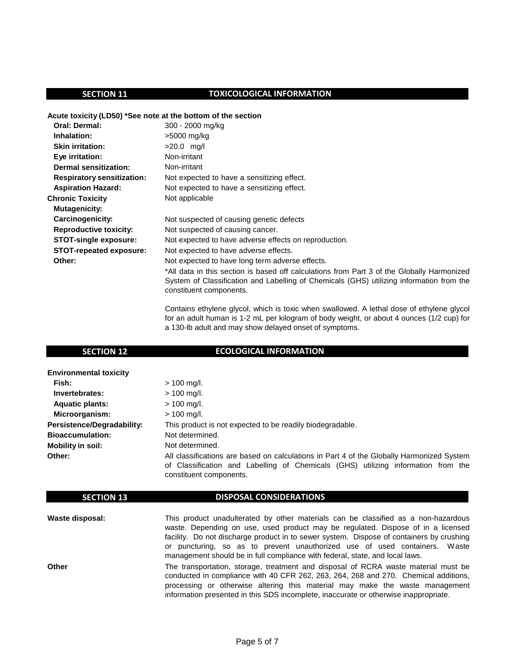## **SECTION 11** TOXICOLOGICAL INFORMATION

### **Acute toxicity (LD50) \*See note at the bottom of the section**

| <b>Oral: Dermal:</b>              | 300 - 2000 mg/kg                                                                                                                                                                                                  |
|-----------------------------------|-------------------------------------------------------------------------------------------------------------------------------------------------------------------------------------------------------------------|
| Inhalation:                       | >5000 mg/kg                                                                                                                                                                                                       |
| <b>Skin irritation:</b>           | $>20.0$ mg/l                                                                                                                                                                                                      |
| Eye irritation:                   | Non-irritant                                                                                                                                                                                                      |
| Dermal sensitization:             | Non-irritant                                                                                                                                                                                                      |
| <b>Respiratory sensitization:</b> | Not expected to have a sensitizing effect.                                                                                                                                                                        |
| <b>Aspiration Hazard:</b>         | Not expected to have a sensitizing effect.                                                                                                                                                                        |
| <b>Chronic Toxicity</b>           | Not applicable                                                                                                                                                                                                    |
| Mutagenicity:                     |                                                                                                                                                                                                                   |
| Carcinogenicity:                  | Not suspected of causing genetic defects                                                                                                                                                                          |
| <b>Reproductive toxicity:</b>     | Not suspected of causing cancer.                                                                                                                                                                                  |
| <b>STOT-single exposure:</b>      | Not expected to have adverse effects on reproduction.                                                                                                                                                             |
| <b>STOT-repeated exposure:</b>    | Not expected to have adverse effects.                                                                                                                                                                             |
| Other:                            | Not expected to have long term adverse effects.                                                                                                                                                                   |
|                                   | *All data in this section is based off calculations from Part 3 of the Globally Harmonized<br>System of Classification and Labelling of Chemicals (GHS) utilizing information from the<br>constituent components. |
|                                   | Contains othylone alveel, which is toxic when swallowed. A lothal dose of othylone alveel                                                                                                                         |

Contains ethylene glycol, which is toxic when swallowed. A lethal dose of ethylene glycol for an adult human is 1-2 mL per kilogram of body weight, or about 4 ounces (1/2 cup) for a 130-lb adult and may show delayed onset of symptoms.

## **SECTION 12 ECOLOGICAL INFORMATION**

| <b>Environmental toxicity</b> |                                                                                           |
|-------------------------------|-------------------------------------------------------------------------------------------|
| Fish:                         | $> 100$ mg/l.                                                                             |
| Invertebrates:                | $> 100$ mg/l.                                                                             |
| <b>Aquatic plants:</b>        | $> 100$ mg/l.                                                                             |
| Microorganism:                | $> 100$ mg/l.                                                                             |
| Persistence/Degradability:    | This product is not expected to be readily biodegradable.                                 |
| <b>Bioaccumulation:</b>       | Not determined.                                                                           |
| <b>Mobility in soil:</b>      | Not determined.                                                                           |
| Other:                        | All classifications are based on calculations in Part 4 of the Globally Harmonized System |
|                               | of Classification and Labelling of Chemicals (GHS) utilizing information from the         |
|                               | constituent components.                                                                   |

## **SECTION 13** DISPOSAL CONSIDERATIONS

| Waste disposal: | This product unadulterated by other materials can be classified as a non-hazardous<br>waste. Depending on use, used product may be regulated. Dispose of in a licensed<br>facility. Do not discharge product in to sewer system. Dispose of containers by crushing<br>or puncturing, so as to prevent unauthorized use of used containers. Waste<br>management should be in full compliance with federal, state, and local laws. |
|-----------------|----------------------------------------------------------------------------------------------------------------------------------------------------------------------------------------------------------------------------------------------------------------------------------------------------------------------------------------------------------------------------------------------------------------------------------|
| Other           | The transportation, storage, treatment and disposal of RCRA waste material must be<br>conducted in compliance with 40 CFR 262, 263, 264, 268 and 270. Chemical additions,<br>processing or otherwise altering this material may make the waste management<br>information presented in this SDS incomplete, inaccurate or otherwise inappropriate.                                                                                |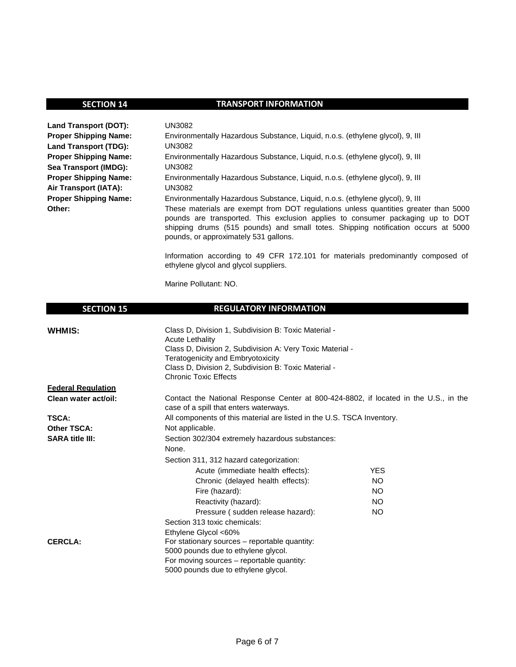## **SECTION 14** TRANSPORT INFORMATION

| Land Transport (DOT):        | UN3082                                                                                                                                                                                                                                                                                              |
|------------------------------|-----------------------------------------------------------------------------------------------------------------------------------------------------------------------------------------------------------------------------------------------------------------------------------------------------|
| <b>Proper Shipping Name:</b> | Environmentally Hazardous Substance, Liquid, n.o.s. (ethylene glycol), 9, III                                                                                                                                                                                                                       |
| Land Transport (TDG):        | UN3082                                                                                                                                                                                                                                                                                              |
| <b>Proper Shipping Name:</b> | Environmentally Hazardous Substance, Liquid, n.o.s. (ethylene glycol), 9, III                                                                                                                                                                                                                       |
| Sea Transport (IMDG):        | UN3082                                                                                                                                                                                                                                                                                              |
| <b>Proper Shipping Name:</b> | Environmentally Hazardous Substance, Liquid, n.o.s. (ethylene glycol), 9, III                                                                                                                                                                                                                       |
| Air Transport (IATA):        | UN3082                                                                                                                                                                                                                                                                                              |
| <b>Proper Shipping Name:</b> | Environmentally Hazardous Substance, Liquid, n.o.s. (ethylene glycol), 9, III                                                                                                                                                                                                                       |
| Other:                       | These materials are exempt from DOT regulations unless quantities greater than 5000<br>pounds are transported. This exclusion applies to consumer packaging up to DOT<br>shipping drums (515 pounds) and small totes. Shipping notification occurs at 5000<br>pounds, or approximately 531 gallons. |
|                              | Information according to 49 CFR 172.101 for materials predominantly composed of                                                                                                                                                                                                                     |

Marine Pollutant: NO.

## **SECTION 15** REGULATORY INFORMATION

ethylene glycol and glycol suppliers.

| <b>WHMIS:</b>             | Class D, Division 1, Subdivision B: Toxic Material -<br>Acute Lethality                                                        |            |  |  |  |
|---------------------------|--------------------------------------------------------------------------------------------------------------------------------|------------|--|--|--|
|                           | Class D, Division 2, Subdivision A: Very Toxic Material -                                                                      |            |  |  |  |
|                           | <b>Teratogenicity and Embryotoxicity</b>                                                                                       |            |  |  |  |
|                           | Class D, Division 2, Subdivision B: Toxic Material -                                                                           |            |  |  |  |
|                           | <b>Chronic Toxic Effects</b>                                                                                                   |            |  |  |  |
| <b>Federal Regulation</b> |                                                                                                                                |            |  |  |  |
| Clean water act/oil:      | Contact the National Response Center at 800-424-8802, if located in the U.S., in the<br>case of a spill that enters waterways. |            |  |  |  |
| <b>TSCA:</b>              | All components of this material are listed in the U.S. TSCA Inventory.                                                         |            |  |  |  |
| <b>Other TSCA:</b>        | Not applicable.                                                                                                                |            |  |  |  |
| <b>SARA title III:</b>    | Section 302/304 extremely hazardous substances:                                                                                |            |  |  |  |
|                           | None.                                                                                                                          |            |  |  |  |
|                           | Section 311, 312 hazard categorization:                                                                                        |            |  |  |  |
|                           | Acute (immediate health effects):                                                                                              | <b>YES</b> |  |  |  |
|                           | Chronic (delayed health effects):                                                                                              | NO.        |  |  |  |
|                           | Fire (hazard):                                                                                                                 | <b>NO</b>  |  |  |  |
|                           | Reactivity (hazard):                                                                                                           | NO.        |  |  |  |
|                           | Pressure (sudden release hazard):                                                                                              | NO.        |  |  |  |
|                           | Section 313 toxic chemicals:                                                                                                   |            |  |  |  |
|                           | Ethylene Glycol <60%                                                                                                           |            |  |  |  |
| <b>CERCLA:</b>            | For stationary sources – reportable quantity:                                                                                  |            |  |  |  |
|                           | 5000 pounds due to ethylene glycol.                                                                                            |            |  |  |  |
|                           | For moving sources – reportable quantity:                                                                                      |            |  |  |  |
|                           | 5000 pounds due to ethylene glycol.                                                                                            |            |  |  |  |